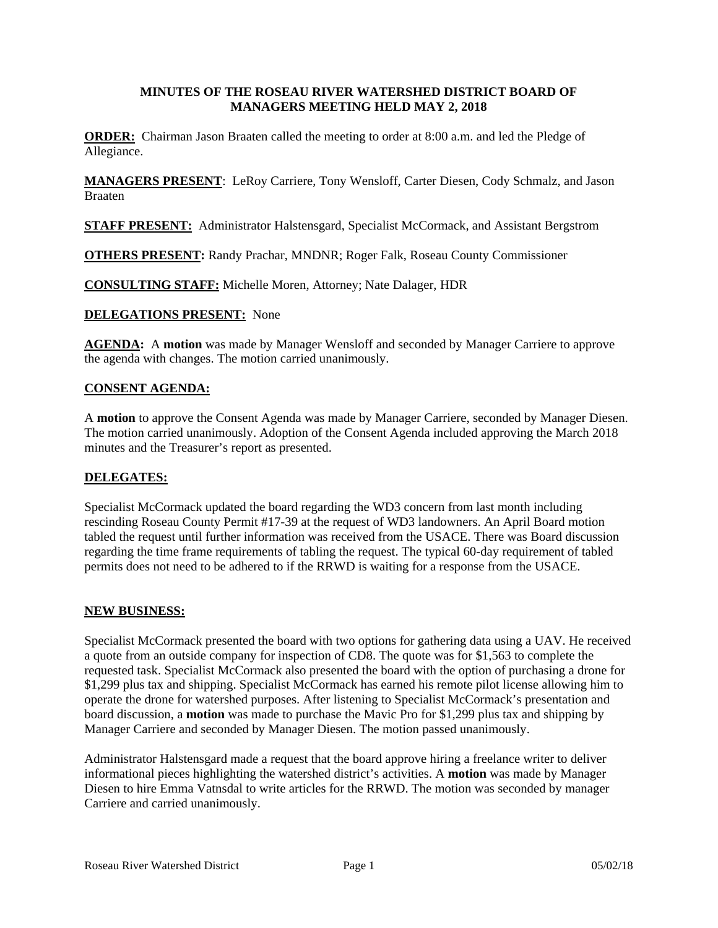# **MINUTES OF THE ROSEAU RIVER WATERSHED DISTRICT BOARD OF MANAGERS MEETING HELD MAY 2, 2018**

**ORDER:** Chairman Jason Braaten called the meeting to order at 8:00 a.m. and led the Pledge of Allegiance.

**MANAGERS PRESENT**: LeRoy Carriere, Tony Wensloff, Carter Diesen, Cody Schmalz, and Jason Braaten

**STAFF PRESENT:** Administrator Halstensgard, Specialist McCormack, and Assistant Bergstrom

**OTHERS PRESENT:** Randy Prachar, MNDNR; Roger Falk, Roseau County Commissioner

**CONSULTING STAFF:** Michelle Moren, Attorney; Nate Dalager, HDR

## **DELEGATIONS PRESENT:** None

**AGENDA:** A **motion** was made by Manager Wensloff and seconded by Manager Carriere to approve the agenda with changes. The motion carried unanimously.

## **CONSENT AGENDA:**

A **motion** to approve the Consent Agenda was made by Manager Carriere, seconded by Manager Diesen. The motion carried unanimously. Adoption of the Consent Agenda included approving the March 2018 minutes and the Treasurer's report as presented.

## **DELEGATES:**

Specialist McCormack updated the board regarding the WD3 concern from last month including rescinding Roseau County Permit #17-39 at the request of WD3 landowners. An April Board motion tabled the request until further information was received from the USACE. There was Board discussion regarding the time frame requirements of tabling the request. The typical 60-day requirement of tabled permits does not need to be adhered to if the RRWD is waiting for a response from the USACE.

#### **NEW BUSINESS:**

Specialist McCormack presented the board with two options for gathering data using a UAV. He received a quote from an outside company for inspection of CD8. The quote was for \$1,563 to complete the requested task. Specialist McCormack also presented the board with the option of purchasing a drone for \$1,299 plus tax and shipping. Specialist McCormack has earned his remote pilot license allowing him to operate the drone for watershed purposes. After listening to Specialist McCormack's presentation and board discussion, a **motion** was made to purchase the Mavic Pro for \$1,299 plus tax and shipping by Manager Carriere and seconded by Manager Diesen. The motion passed unanimously.

Administrator Halstensgard made a request that the board approve hiring a freelance writer to deliver informational pieces highlighting the watershed district's activities. A **motion** was made by Manager Diesen to hire Emma Vatnsdal to write articles for the RRWD. The motion was seconded by manager Carriere and carried unanimously.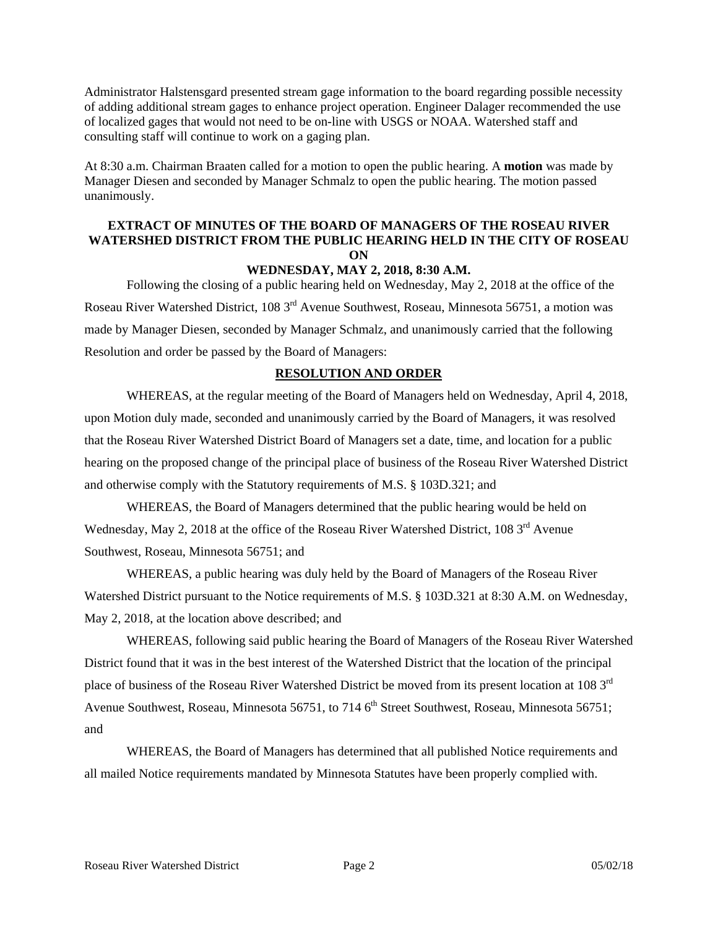Administrator Halstensgard presented stream gage information to the board regarding possible necessity of adding additional stream gages to enhance project operation. Engineer Dalager recommended the use of localized gages that would not need to be on-line with USGS or NOAA. Watershed staff and consulting staff will continue to work on a gaging plan.

At 8:30 a.m. Chairman Braaten called for a motion to open the public hearing. A **motion** was made by Manager Diesen and seconded by Manager Schmalz to open the public hearing. The motion passed unanimously.

# **EXTRACT OF MINUTES OF THE BOARD OF MANAGERS OF THE ROSEAU RIVER WATERSHED DISTRICT FROM THE PUBLIC HEARING HELD IN THE CITY OF ROSEAU ON**

#### **WEDNESDAY, MAY 2, 2018, 8:30 A.M.**

 Following the closing of a public hearing held on Wednesday, May 2, 2018 at the office of the Roseau River Watershed District, 108 3rd Avenue Southwest, Roseau, Minnesota 56751, a motion was made by Manager Diesen, seconded by Manager Schmalz, and unanimously carried that the following Resolution and order be passed by the Board of Managers:

#### **RESOLUTION AND ORDER**

 WHEREAS, at the regular meeting of the Board of Managers held on Wednesday, April 4, 2018, upon Motion duly made, seconded and unanimously carried by the Board of Managers, it was resolved that the Roseau River Watershed District Board of Managers set a date, time, and location for a public hearing on the proposed change of the principal place of business of the Roseau River Watershed District and otherwise comply with the Statutory requirements of M.S. § 103D.321; and

 WHEREAS, the Board of Managers determined that the public hearing would be held on Wednesday, May 2, 2018 at the office of the Roseau River Watershed District, 108 3<sup>rd</sup> Avenue Southwest, Roseau, Minnesota 56751; and

 WHEREAS, a public hearing was duly held by the Board of Managers of the Roseau River Watershed District pursuant to the Notice requirements of M.S. § 103D.321 at 8:30 A.M. on Wednesday, May 2, 2018, at the location above described; and

 WHEREAS, following said public hearing the Board of Managers of the Roseau River Watershed District found that it was in the best interest of the Watershed District that the location of the principal place of business of the Roseau River Watershed District be moved from its present location at 108 3rd Avenue Southwest, Roseau, Minnesota 56751, to 714 6<sup>th</sup> Street Southwest, Roseau, Minnesota 56751; and

 WHEREAS, the Board of Managers has determined that all published Notice requirements and all mailed Notice requirements mandated by Minnesota Statutes have been properly complied with.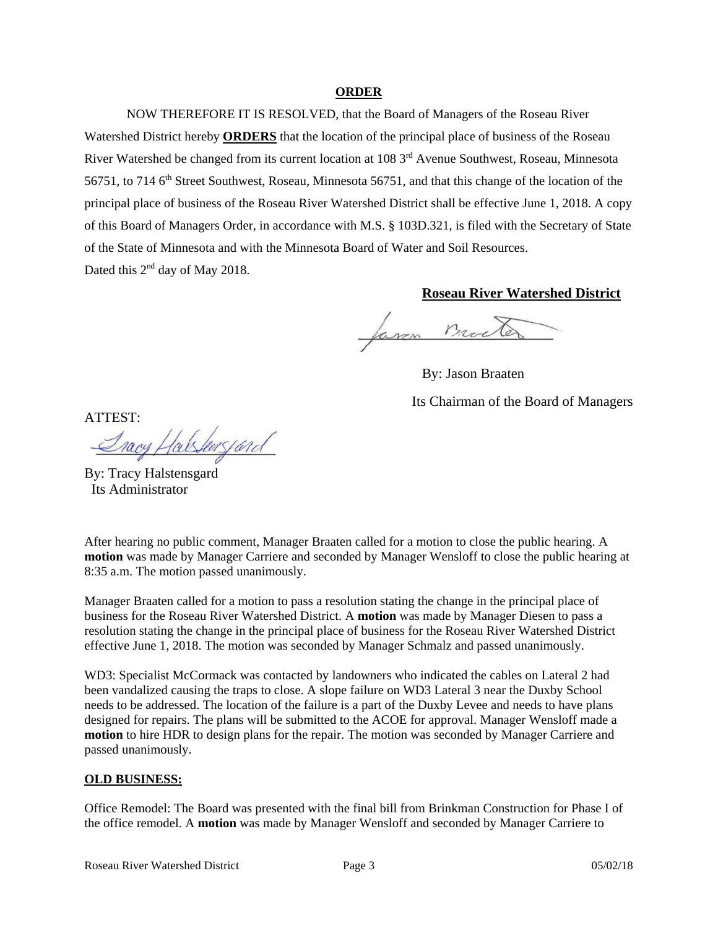### **ORDER**

 NOW THEREFORE IT IS RESOLVED, that the Board of Managers of the Roseau River Watershed District hereby **ORDERS** that the location of the principal place of business of the Roseau River Watershed be changed from its current location at 108 3<sup>rd</sup> Avenue Southwest, Roseau, Minnesota 56751, to 714 6<sup>th</sup> Street Southwest, Roseau, Minnesota 56751, and that this change of the location of the principal place of business of the Roseau River Watershed District shall be effective June 1, 2018. A copy of this Board of Managers Order, in accordance with M.S. § 103D.321, is filed with the Secretary of State of the State of Minnesota and with the Minnesota Board of Water and Soil Resources. Dated this 2<sup>nd</sup> day of May 2018.

# **Roseau River Watershed District**

Jaron Mod

By: Jason Braaten Its Chairman of the Board of Managers

ATTEST:

alshussard

By: Tracy Halstensgard Its Administrator

After hearing no public comment, Manager Braaten called for a motion to close the public hearing. A **motion** was made by Manager Carriere and seconded by Manager Wensloff to close the public hearing at 8:35 a.m. The motion passed unanimously.

Manager Braaten called for a motion to pass a resolution stating the change in the principal place of business for the Roseau River Watershed District. A **motion** was made by Manager Diesen to pass a resolution stating the change in the principal place of business for the Roseau River Watershed District effective June 1, 2018. The motion was seconded by Manager Schmalz and passed unanimously.

WD3: Specialist McCormack was contacted by landowners who indicated the cables on Lateral 2 had been vandalized causing the traps to close. A slope failure on WD3 Lateral 3 near the Duxby School needs to be addressed. The location of the failure is a part of the Duxby Levee and needs to have plans designed for repairs. The plans will be submitted to the ACOE for approval. Manager Wensloff made a **motion** to hire HDR to design plans for the repair. The motion was seconded by Manager Carriere and passed unanimously.

## **OLD BUSINESS:**

Office Remodel: The Board was presented with the final bill from Brinkman Construction for Phase I of the office remodel. A **motion** was made by Manager Wensloff and seconded by Manager Carriere to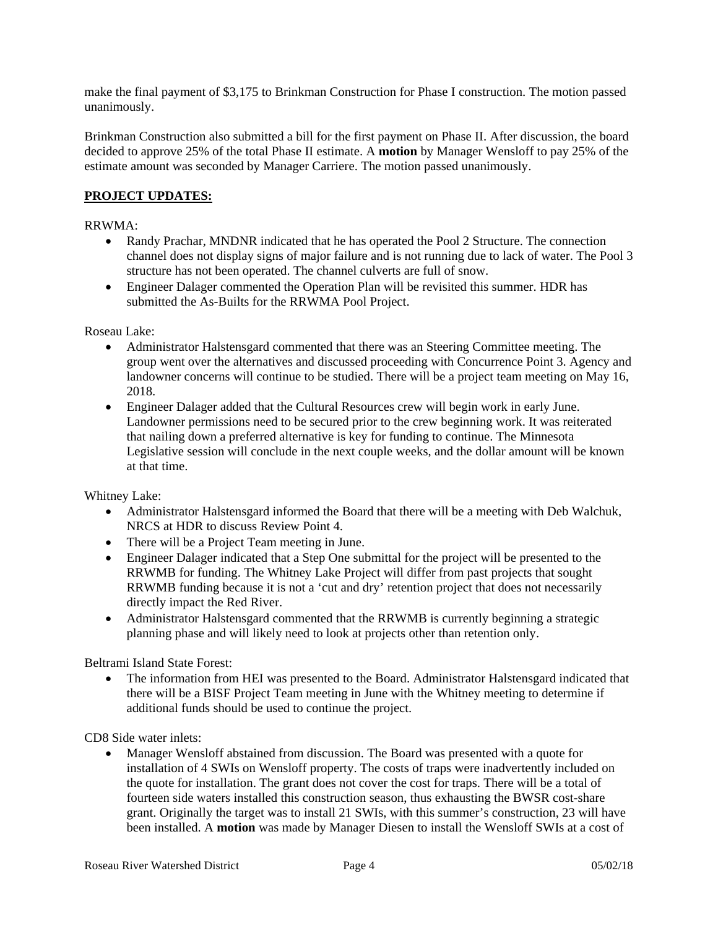make the final payment of \$3,175 to Brinkman Construction for Phase I construction. The motion passed unanimously.

Brinkman Construction also submitted a bill for the first payment on Phase II. After discussion, the board decided to approve 25% of the total Phase II estimate. A **motion** by Manager Wensloff to pay 25% of the estimate amount was seconded by Manager Carriere. The motion passed unanimously.

# **PROJECT UPDATES:**

## RRWMA:

- Randy Prachar, MNDNR indicated that he has operated the Pool 2 Structure. The connection channel does not display signs of major failure and is not running due to lack of water. The Pool 3 structure has not been operated. The channel culverts are full of snow.
- Engineer Dalager commented the Operation Plan will be revisited this summer. HDR has submitted the As-Builts for the RRWMA Pool Project.

Roseau Lake:

- Administrator Halstensgard commented that there was an Steering Committee meeting. The group went over the alternatives and discussed proceeding with Concurrence Point 3. Agency and landowner concerns will continue to be studied. There will be a project team meeting on May 16, 2018.
- Engineer Dalager added that the Cultural Resources crew will begin work in early June. Landowner permissions need to be secured prior to the crew beginning work. It was reiterated that nailing down a preferred alternative is key for funding to continue. The Minnesota Legislative session will conclude in the next couple weeks, and the dollar amount will be known at that time.

Whitney Lake:

- Administrator Halstensgard informed the Board that there will be a meeting with Deb Walchuk, NRCS at HDR to discuss Review Point 4.
- There will be a Project Team meeting in June.
- Engineer Dalager indicated that a Step One submittal for the project will be presented to the RRWMB for funding. The Whitney Lake Project will differ from past projects that sought RRWMB funding because it is not a 'cut and dry' retention project that does not necessarily directly impact the Red River.
- Administrator Halstensgard commented that the RRWMB is currently beginning a strategic planning phase and will likely need to look at projects other than retention only.

Beltrami Island State Forest:

 The information from HEI was presented to the Board. Administrator Halstensgard indicated that there will be a BISF Project Team meeting in June with the Whitney meeting to determine if additional funds should be used to continue the project.

CD8 Side water inlets:

 Manager Wensloff abstained from discussion. The Board was presented with a quote for installation of 4 SWIs on Wensloff property. The costs of traps were inadvertently included on the quote for installation. The grant does not cover the cost for traps. There will be a total of fourteen side waters installed this construction season, thus exhausting the BWSR cost-share grant. Originally the target was to install 21 SWIs, with this summer's construction, 23 will have been installed. A **motion** was made by Manager Diesen to install the Wensloff SWIs at a cost of